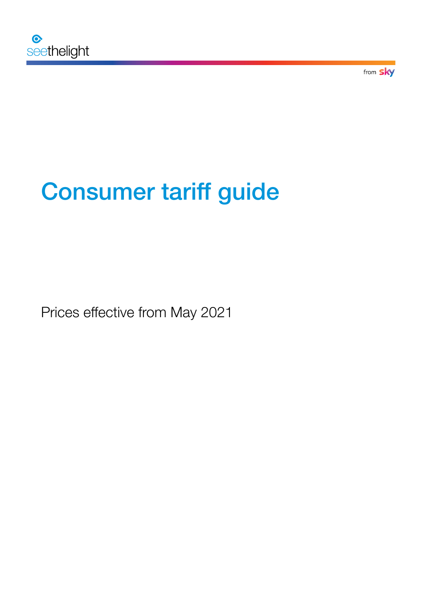

from **sky** 

# Consumer tariff guide

Prices effective from May 2021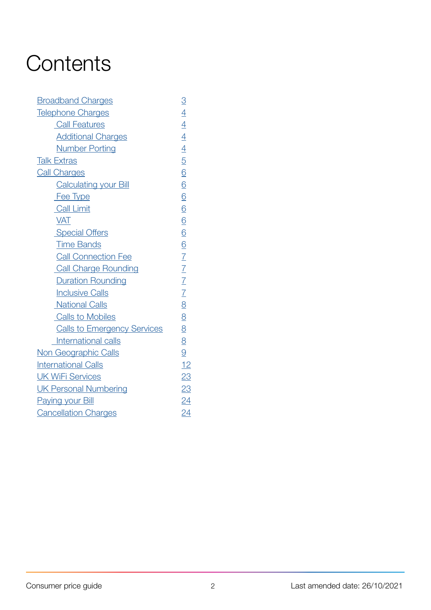# **Contents**

| <b>Broadband Charges</b>           | $\overline{3}$              |
|------------------------------------|-----------------------------|
| <b>Telephone Charges</b>           | $\overline{4}$              |
| <b>Call Features</b>               |                             |
| <b>Additional Charges</b>          |                             |
| <b>Number Porting</b>              | $\frac{4}{4}$ $\frac{4}{5}$ |
| <b>Talk Extras</b>                 |                             |
| <b>Call Charges</b>                | $\underline{6}$             |
| <b>Calculating your Bill</b>       | $\underline{6}$             |
| Fee Type                           | $\underline{6}$             |
| <b>Call Limit</b>                  | $\underline{6}$             |
| <b>VAT</b>                         | $\underline{6}$             |
| <b>Special Offers</b>              | $\underline{6}$             |
| <b>Time Bands</b>                  | $\underline{6}$             |
| <b>Call Connection Fee</b>         | $\overline{1}$              |
| <b>Call Charge Rounding</b>        | $\frac{2}{7}$               |
| <b>Duration Rounding</b>           | $\frac{7}{7}$               |
| <b>Inclusive Calls</b>             |                             |
| <b>National Calls</b>              | $\overline{8}$              |
| <b>Calls to Mobiles</b>            | $\underline{8}$             |
| <b>Calls to Emergency Services</b> | $\underline{8}$             |
| International calls                | 8                           |
| Non Geographic Calls               | 9                           |
| <b>International Calls</b>         | 12                          |
| <b>UK WiFi Services</b>            | 23                          |
| <b>UK Personal Numbering</b>       | 23                          |
| <b>Paying your Bill</b>            | $\underline{24}$            |
| <b>Cancellation Charges</b>        | 24                          |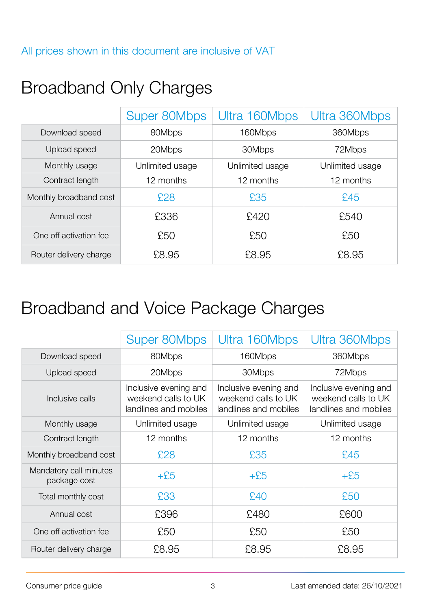# <span id="page-2-0"></span>Broadband Only Charges

|                        | <b>Super 80Mbps</b> | Ultra 160Mbps   | Ultra 360Mbps   |  |
|------------------------|---------------------|-----------------|-----------------|--|
| Download speed         | 80Mbps              | 160Mbps         | 360Mbps         |  |
| Upload speed           | 20Mbps              | 30Mbps          |                 |  |
| Monthly usage          | Unlimited usage     | Unlimited usage | Unlimited usage |  |
| Contract length        | 12 months           | 12 months       | 12 months       |  |
| Monthly broadband cost | £28                 | £35             | £45             |  |
| Annual cost            | £336                | £420            | £540            |  |
| One off activation fee | £50                 | £50             | £50             |  |
| Router delivery charge | £8.95               | £8.95           | £8.95           |  |

# Broadband and Voice Package Charges

|                                        | Super 80Mbps                                                          | Ultra 160Mbps                                                         | Ultra 360Mbps                                                         |  |
|----------------------------------------|-----------------------------------------------------------------------|-----------------------------------------------------------------------|-----------------------------------------------------------------------|--|
| Download speed                         | 80Mbps                                                                | 160Mbps                                                               | 360Mbps                                                               |  |
| Upload speed                           | 20Mbps                                                                | 30Mbps                                                                | 72Mbps                                                                |  |
| Inclusive calls                        | Inclusive evening and<br>weekend calls to UK<br>landlines and mobiles | Inclusive evening and<br>weekend calls to UK<br>landlines and mobiles | Inclusive evening and<br>weekend calls to UK<br>landlines and mobiles |  |
| Monthly usage                          | Unlimited usage                                                       | Unlimited usage                                                       | Unlimited usage                                                       |  |
| Contract length                        | 12 months                                                             | 12 months                                                             | 12 months                                                             |  |
| Monthly broadband cost                 | £28                                                                   | £35                                                                   | £45                                                                   |  |
| Mandatory call minutes<br>package cost | $+£5$                                                                 | $+£5$                                                                 | $+£5$                                                                 |  |
| Total monthly cost                     | £33                                                                   | £40                                                                   | £50                                                                   |  |
| Annual cost                            | £396                                                                  | £480                                                                  | £600                                                                  |  |
| One off activation fee                 | £50                                                                   | £50                                                                   | £50                                                                   |  |
| Router delivery charge                 | £8.95                                                                 | £8.95                                                                 | £8.95                                                                 |  |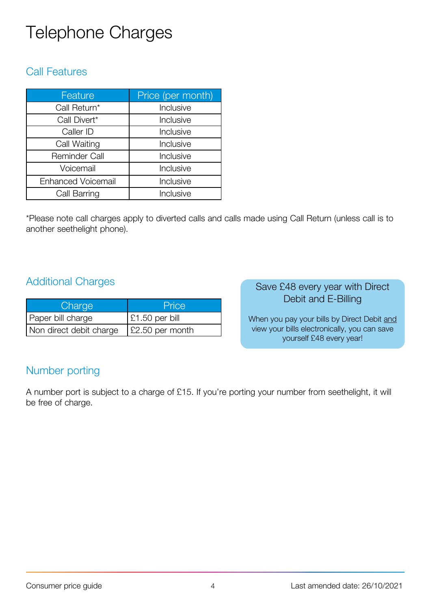# <span id="page-3-0"></span>Telephone Charges

### Call Features

| Feature                   | Price (per month) |
|---------------------------|-------------------|
| Call Return*              | Inclusive         |
| Call Divert*              | Inclusive         |
| Caller ID                 | Inclusive         |
| Call Waiting              | Inclusive         |
| <b>Reminder Call</b>      | Inclusive         |
| Voicemail                 | Inclusive         |
| <b>Enhanced Voicemail</b> | Inclusive         |
| Call Barring              | Inclusive         |

\*Please note call charges apply to diverted calls and calls made using Call Return (unless call is to another seethelight phone).

### Additional Charges

| Charge                  | Price                  |
|-------------------------|------------------------|
| Paper bill charge       | $\vert$ £1.50 per bill |
| Non direct debit charge | £2.50 per month        |

#### Save £48 every year with Direct Debit and E-Billing

When you pay your bills by Direct Debit and view your bills electronically, you can save yourself £48 every year!

### Number porting

A number port is subject to a charge of £15. If you're porting your number from seethelight, it will be free of charge.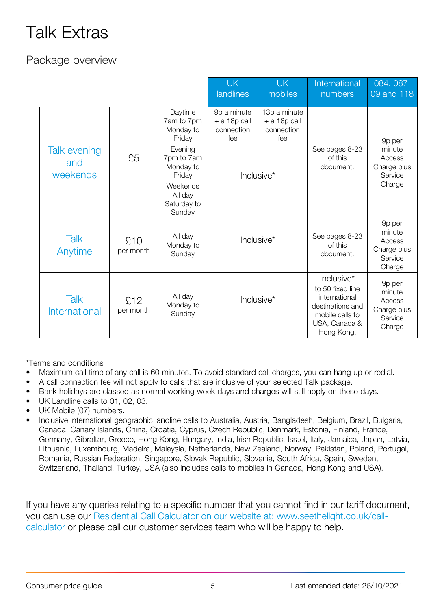# <span id="page-4-0"></span>Talk Extras

# Package overview

|                                              |                  |                                              | <b>UK</b><br>landlines                             | <b>UK</b><br>mobiles                                | International<br>numbers                                                                                              | 084, 087,<br>09 and 118                                        |
|----------------------------------------------|------------------|----------------------------------------------|----------------------------------------------------|-----------------------------------------------------|-----------------------------------------------------------------------------------------------------------------------|----------------------------------------------------------------|
|                                              |                  | Daytime<br>7am to 7pm<br>Monday to<br>Friday | 9p a minute<br>$+ a 18p$ call<br>connection<br>fee | 13p a minute<br>$+$ a 18p call<br>connection<br>fee |                                                                                                                       | 9p per                                                         |
| <b>Talk evening</b><br>£5<br>and<br>weekends |                  | Evening<br>7pm to 7am<br>Monday to<br>Friday | Inclusive*                                         |                                                     | See pages 8-23<br>of this<br>document.                                                                                | minute<br>Access<br>Charge plus<br>Service                     |
|                                              |                  | Weekends<br>All day<br>Saturday to<br>Sunday |                                                    |                                                     |                                                                                                                       | Charge                                                         |
| <b>Talk</b><br>Anytime                       | £10<br>per month | All day<br>Monday to<br>Sunday               | Inclusive*                                         |                                                     | See pages 8-23<br>of this<br>document.                                                                                | 9p per<br>minute<br>Access<br>Charge plus<br>Service<br>Charge |
| <b>Talk</b><br>International                 | £12<br>per month | All day<br>Monday to<br>Sunday               | Inclusive*                                         |                                                     | Inclusive*<br>to 50 fixed line<br>international<br>destinations and<br>mobile calls to<br>USA, Canada &<br>Hong Kong. | 9p per<br>minute<br>Access<br>Charge plus<br>Service<br>Charge |

\*Terms and conditions

- Maximum call time of any call is 60 minutes. To avoid standard call charges, you can hang up or redial.
- A call connection fee will not apply to calls that are inclusive of your selected Talk package.
- Bank holidays are classed as normal working week days and charges will still apply on these days.
- UK Landline calls to 01, 02, 03.
- UK Mobile (07) numbers.
- Inclusive international geographic landline calls to Australia, Austria, Bangladesh, Belgium, Brazil, Bulgaria, Canada, Canary Islands, China, Croatia, Cyprus, Czech Republic, Denmark, Estonia, Finland, France, Germany, Gibraltar, Greece, Hong Kong, Hungary, India, Irish Republic, Israel, Italy, Jamaica, Japan, Latvia, Lithuania, Luxembourg, Madeira, Malaysia, Netherlands, New Zealand, Norway, Pakistan, Poland, Portugal, Romania, Russian Federation, Singapore, Slovak Republic, Slovenia, South Africa, Spain, Sweden, Switzerland, Thailand, Turkey, USA (also includes calls to mobiles in Canada, Hong Kong and USA).

If you have any queries relating to a specific number that you cannot find in our tariff document, you can use our Residential Call Calculator on our website at: www.seethelight.co.uk/callcalculator or please call our customer services team who will be happy to help.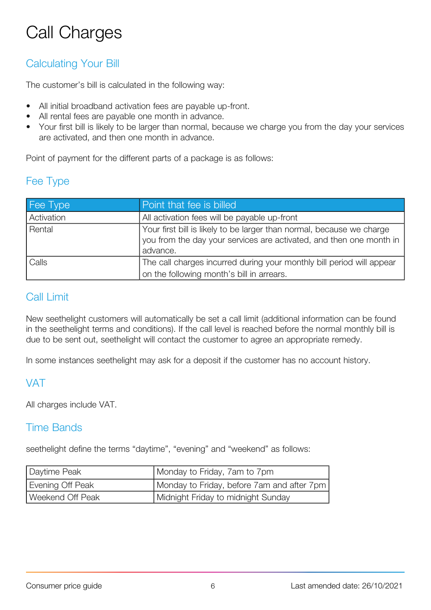# <span id="page-5-0"></span>Call Charges

# Calculating Your Bill

The customer's bill is calculated in the following way:

- All initial broadband activation fees are payable up-front.
- All rental fees are payable one month in advance.
- Your first bill is likely to be larger than normal, because we charge you from the day your services are activated, and then one month in advance.

Point of payment for the different parts of a package is as follows:

### Fee Type

| Fee Type   | Point that fee is billed                                                                                                                                 |
|------------|----------------------------------------------------------------------------------------------------------------------------------------------------------|
| Activation | All activation fees will be payable up-front                                                                                                             |
| Rental     | Your first bill is likely to be larger than normal, because we charge<br>you from the day your services are activated, and then one month in<br>advance. |
| Calls      | The call charges incurred during your monthly bill period will appear<br>on the following month's bill in arrears.                                       |

### Call Limit

New seethelight customers will automatically be set a call limit (additional information can be found in the seethelight terms and conditions). If the call level is reached before the normal monthly bill is due to be sent out, seethelight will contact the customer to agree an appropriate remedy.

In some instances seethelight may ask for a deposit if the customer has no account history.

## VAT

All charges include VAT.

#### Time Bands

seethelight define the terms "daytime", "evening" and "weekend" as follows:

| Daytime Peak     | Monday to Friday, 7am to 7pm               |
|------------------|--------------------------------------------|
| Evening Off Peak | Monday to Friday, before 7am and after 7pm |
| Weekend Off Peak | Midnight Friday to midnight Sunday         |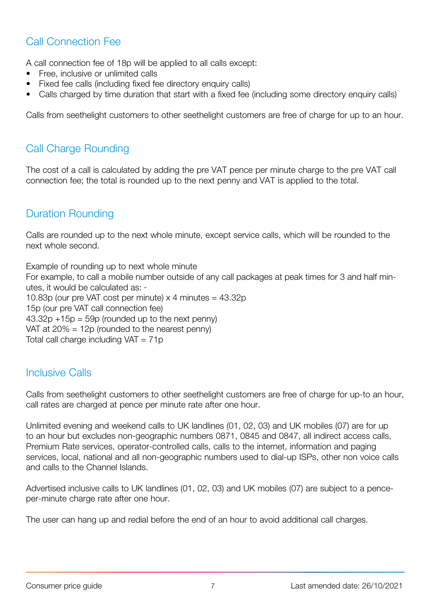# <span id="page-6-0"></span>Call Connection Fee

A call connection fee of 18p will be applied to all calls except:

- Free, inclusive or unlimited calls
- Fixed fee calls (including fixed fee directory enquiry calls)
- Calls charged by time duration that start with a fixed fee (including some directory enquiry calls)

Calls from seethelight customers to other seethelight customers are free of charge for up to an hour.

# Call Charge Rounding

The cost of a call is calculated by adding the pre VAT pence per minute charge to the pre VAT call connection fee; the total is rounded up to the next penny and VAT is applied to the total.

# Duration Rounding

Calls are rounded up to the next whole minute, except service calls, which will be rounded to the next whole second.

Example of rounding up to next whole minute For example, to call a mobile number outside of any call packages at peak times for 3 and half minutes, it would be calculated as: 10.83p (our pre VAT cost per minute)  $\times$  4 minutes = 43.32p 15p (our pre VAT call connection fee)  $43.32p +15p = 59p$  (rounded up to the next penny) VAT at 20% = 12p (rounded to the nearest penny) Total call charge including  $VAT = 71p$ 

## Inclusive Calls

Calls from seethelight customers to other seethelight customers are free of charge for up-to an hour, call rates are charged at pence per minute rate after one hour.

Unlimited evening and weekend calls to UK landlines (01, 02, 03) and UK mobiles (07) are for up to an hour but excludes non-geographic numbers 0871, 0845 and 0847, all indirect access calls, Premium Rate services, operator-controlled calls, calls to the internet, information and paging services, local, national and all non-geographic numbers used to dial-up ISPs, other non voice calls and calls to the Channel Islands.

Advertised inclusive calls to UK landlines (01, 02, 03) and UK mobiles (07) are subject to a penceper-minute charge rate after one hour.

The user can hang up and redial before the end of an hour to avoid additional call charges.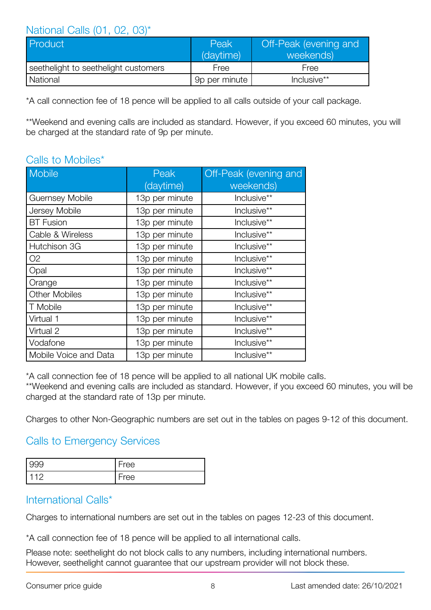#### <span id="page-7-0"></span>National Calls (01, 02, 03)\*

| Product                              | Peak<br>(daytime) | Off-Peak (evening and<br>weekends) |  |
|--------------------------------------|-------------------|------------------------------------|--|
| seethelight to seethelight customers | Free              | Free                               |  |
| National                             | 9p per minute     | Inclusive**                        |  |

\*A call connection fee of 18 pence will be applied to all calls outside of your call package.

\*\*Weekend and evening calls are included as standard. However, if you exceed 60 minutes, you will be charged at the standard rate of 9p per minute.

### Calls to Mobiles\*

| <b>Mobile</b>          | Peak           | Off-Peak (evening and |
|------------------------|----------------|-----------------------|
|                        | (daytime)      | weekends)             |
| <b>Guernsey Mobile</b> | 13p per minute | Inclusive**           |
| Jersey Mobile          | 13p per minute | Inclusive**           |
| <b>BT</b> Fusion       | 13p per minute | Inclusive**           |
| Cable & Wireless       | 13p per minute | Inclusive**           |
| Hutchison 3G           | 13p per minute | Inclusive**           |
| O <sub>2</sub>         | 13p per minute | Inclusive**           |
| Opal                   | 13p per minute | Inclusive**           |
| Orange                 | 13p per minute | Inclusive**           |
| <b>Other Mobiles</b>   | 13p per minute | Inclusive**           |
| T Mobile               | 13p per minute | Inclusive**           |
| Virtual 1              | 13p per minute | Inclusive**           |
| Virtual 2              | 13p per minute | Inclusive**           |
| Vodafone               | 13p per minute | Inclusive**           |
| Mobile Voice and Data  | 13p per minute | Inclusive**           |

\*A call connection fee of 18 pence will be applied to all national UK mobile calls.

\*\*Weekend and evening calls are included as standard. However, if you exceed 60 minutes, you will be charged at the standard rate of 13p per minute.

Charges to other Non-Geographic numbers are set out in the tables on pages 9-12 of this document.

## Calls to Emergency Services

| 166  |
|------|
| ם הם |

#### International Calls\*

Charges to international numbers are set out in the tables on pages 12-23 of this document.

\*A call connection fee of 18 pence will be applied to all international calls.

Please note: seethelight do not block calls to any numbers, including international numbers. However, seethelight cannot guarantee that our upstream provider will not block these.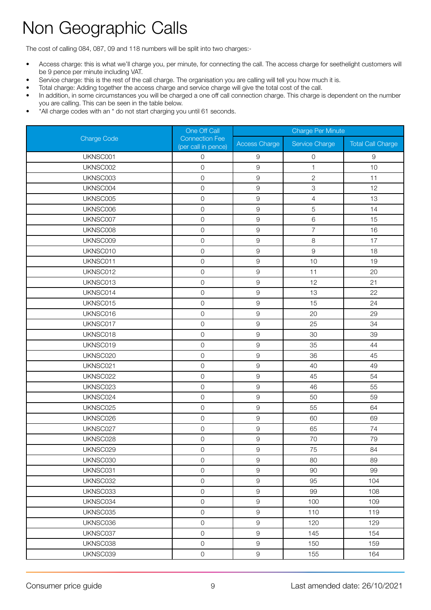# <span id="page-8-0"></span>Non Geographic Calls

The cost of calling 084, 087, 09 and 118 numbers will be split into two charges:-

- Access charge: this is what we'll charge you, per minute, for connecting the call. The access charge for seethelight customers will be 9 pence per minute including VAT.
- Service charge: this is the rest of the call charge. The organisation you are calling will tell you how much it is.
- Total charge: Adding together the access charge and service charge will give the total cost of the call.
- In addition, in some circumstances you will be charged a one off call connection charge. This charge is dependent on the number you are calling. This can be seen in the table below.
- \*All charge codes with an \* do not start charging you until 61 seconds.

|                    | One Off Call                                 | <b>Charge Per Minute</b> |                |                          |
|--------------------|----------------------------------------------|--------------------------|----------------|--------------------------|
| <b>Charge Code</b> | <b>Connection Fee</b><br>(per call in pence) | <b>Access Charge</b>     | Service Charge | <b>Total Call Charge</b> |
| UKNSC001           | 0                                            | 9                        | 0              | $\hbox{9}$               |
| UKNSC002           | $\mathsf{O}$                                 | $\hbox{9}$               | $\mathbf{1}$   | 10                       |
| UKNSC003           | $\mathbf 0$                                  | $\mathsf g$              | $\mathbf{2}$   | 11                       |
| UKNSC004           | $\mathsf{O}$                                 | $\mathsf g$              | 3              | 12                       |
| UKNSC005           | $\mathsf{O}$                                 | $\mathsf 9$              | $\overline{4}$ | 13                       |
| UKNSC006           | $\mathsf{O}$                                 | $\hbox{9}$               | 5              | 14                       |
| UKNSC007           | $\mathsf{O}$                                 | $\hbox{9}$               | $\,6$          | 15                       |
| UKNSC008           | $\mathsf{O}$                                 | $\mathsf 9$              | $\overline{7}$ | 16                       |
| UKNSC009           | $\mathsf O$                                  | $\mathsf g$              | 8              | 17                       |
| UKNSC010           | $\mathsf{O}$                                 | $\mathsf 9$              | $\mathsf g$    | 18                       |
| UKNSC011           | $\mathsf{O}$                                 | $\overline{9}$           | 10             | 19                       |
| UKNSC012           | $\mathsf{O}$                                 | $\hbox{9}$               | 11             | 20                       |
| UKNSC013           | $\mathsf{O}$                                 | $\mathsf g$              | 12             | 21                       |
| UKNSC014           | $\mathsf{O}$                                 | $\mathsf g$              | 13             | 22                       |
| UKNSC015           | $\mathsf{O}$                                 | $\mathsf 9$              | 15             | 24                       |
| UKNSC016           | $\mathsf{O}$                                 | $\mathsf g$              | 20             | 29                       |
| UKNSC017           | $\mathsf{O}$                                 | $\hbox{9}$               | 25             | 34                       |
| UKNSC018           | $\mathsf{O}$                                 | $\hbox{9}$               | 30             | 39                       |
| UKNSC019           | $\mathsf{O}$                                 | $\mathsf g$              | 35             | 44                       |
| UKNSC020           | $\mathsf{O}$                                 | $\mathsf 9$              | 36             | 45                       |
| UKNSC021           | $\mathsf{O}$                                 | $\mathsf g$              | 40             | 49                       |
| UKNSC022           | $\mathsf{O}$                                 | $\hbox{9}$               | 45             | 54                       |
| UKNSC023           | $\mathsf{O}$                                 | $\mathsf 9$              | 46             | 55                       |
| UKNSC024           | $\mathsf{O}$                                 | $\mathsf g$              | 50             | 59                       |
| UKNSC025           | $\mathsf{O}$                                 | $\mathsf 9$              | 55             | 64                       |
| UKNSC026           | $\mathsf{O}$                                 | $\overline{9}$           | 60             | 69                       |
| UKNSC027           | $\mathsf{O}$                                 | $\hbox{9}$               | 65             | 74                       |
| UKNSC028           | $\mathsf{O}$                                 | $\hbox{9}$               | 70             | 79                       |
| UKNSC029           | $\mathsf O$                                  | $\hbox{9}$               | 75             | 84                       |
| UKNSC030           | $\overline{0}$                               | $\mathsf 9$              | 80             | 89                       |
| UKNSC031           | $\mathsf{O}$                                 | $\mathsf 9$              | 90             | 99                       |
| UKNSC032           | $\mathsf{O}$                                 | $\hbox{9}$               | 95             | 104                      |
| UKNSC033           | $\mathsf{O}$                                 | $\overline{9}$           | 99             | 108                      |
| UKNSC034           | $\mathsf{O}$                                 | $\hbox{9}$               | 100            | 109                      |
| UKNSC035           | $\mathsf O$                                  | $\mathsf 9$              | 110            | 119                      |
| UKNSC036           | $\overline{0}$                               | $\hbox{9}$               | 120            | 129                      |
| UKNSC037           | $\mathsf{O}$                                 | $\hbox{9}$               | 145            | 154                      |
| UKNSC038           | $\mathsf{O}$                                 | $\mathsf g$              | 150            | 159                      |
| UKNSC039           | $\mathsf{O}\xspace$                          | $\hbox{9}$               | 155            | 164                      |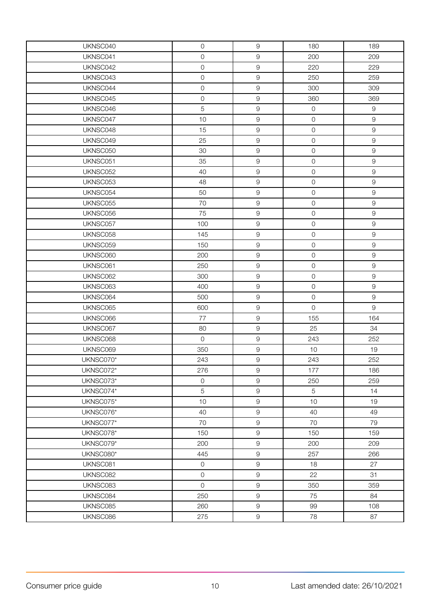| UKNSC040  | $\mathsf O$         | $\mathsf 9$ | 180            | 189            |
|-----------|---------------------|-------------|----------------|----------------|
| UKNSC041  | $\mathsf{O}\xspace$ | $\hbox{9}$  | 200            | 209            |
| UKNSC042  | $\mathsf{O}$        | $\hbox{9}$  | 220            | 229            |
| UKNSC043  | $\mathsf O$         | $\hbox{9}$  | 250            | 259            |
| UKNSC044  | $\mathsf{O}\xspace$ | 9           | 300            | 309            |
| UKNSC045  | $\mathsf O$         | $\hbox{9}$  | 360            | 369            |
| UKNSC046  | 5                   | $\hbox{9}$  | $\mathsf O$    | $\overline{9}$ |
| UKNSC047  | 10                  | $\hbox{9}$  | $\mathsf{O}$   | $\hbox{9}$     |
| UKNSC048  | 15                  | $\hbox{9}$  | $\mathsf{O}$   | $\hbox{9}$     |
| UKNSC049  | 25                  | 9           | $\mathsf{O}$   | 9              |
| UKNSC050  | 30                  | $\hbox{9}$  | $\mathsf{O}$   | $\hbox{9}$     |
| UKNSC051  | 35                  | $\hbox{9}$  | $\mathsf{O}$   | 9              |
| UKNSC052  | 40                  | $\hbox{9}$  | $\mathsf{O}$   | $\hbox{9}$     |
| UKNSC053  | 48                  | $\hbox{9}$  | $\mathsf{O}$   | $\hbox{9}$     |
| UKNSC054  | 50                  | 9           | $\mathsf{O}$   | 9              |
| UKNSC055  | 70                  | 9           | $\mathbf 0$    | $\hbox{9}$     |
| UKNSC056  | 75                  | $\hbox{9}$  | $\mathsf{O}$   | 9              |
| UKNSC057  | 100                 | $\hbox{9}$  | $\mathsf{O}$   | $\hbox{9}$     |
| UKNSC058  | 145                 | $\hbox{9}$  | $\mathsf{O}$   | 9              |
| UKNSC059  | 150                 | 9           | $\mathsf{O}$   | 9              |
| UKNSC060  | 200                 | $\hbox{9}$  | $\mathsf{O}$   | $\hbox{9}$     |
| UKNSC061  | 250                 | $\hbox{9}$  | $\mathsf{O}$   | 9              |
| UKNSC062  | 300                 | $\hbox{9}$  | $\mathsf{O}$   | $\hbox{9}$     |
| UKNSC063  | 400                 | $\hbox{9}$  | $\mathsf{O}$   | $\hbox{9}$     |
| UKNSC064  | 500                 | $\hbox{9}$  | $\mathsf{O}$   | $\mathsf g$    |
| UKNSC065  | 600                 | 9           | $\overline{0}$ | 9              |
| UKNSC066  | 77                  | $\hbox{9}$  | 155            | 164            |
| UKNSC067  | 80                  | $\hbox{9}$  | 25             | 34             |
| UKNSC068  | $\overline{0}$      | $\hbox{9}$  | 243            | 252            |
| UKNSC069  | 350                 | $\hbox{9}$  | 10             | 19             |
| UKNSC070* | 243                 | $\hbox{9}$  | 243            | 252            |
| UKNSC072* | 276                 | $\hbox{9}$  | 177            | 186            |
| UKNSC073* | $\mathsf{O}\xspace$ | 9           | 250            | 259            |
| UKNSC074* | 5                   | 9           | 5              | 14             |
| UKNSC075* | 10                  | $\hbox{9}$  | 10             | 19             |
| UKNSC076* | 40                  | $\mathsf g$ | 40             | 49             |
| UKNSC077* | 70                  | 9           | 70             | 79             |
| UKNSC078* | 150                 | 9           | 150            | 159            |
| UKNSC079* | 200                 | 9           | 200            | 209            |
| UKNSC080* | 445                 | $\hbox{9}$  | 257            | 266            |
| UKNSC081  | $\mathsf{O}\xspace$ | 9           | 18             | 27             |
| UKNSC082  | $\overline{0}$      | 9           | 22             | 31             |
| UKNSC083  | $\overline{0}$      | 9           | 350            | 359            |
| UKNSC084  | 250                 | 9           | 75             | 84             |
| UKNSC085  | 260                 | $\hbox{9}$  | 99             | 108            |
| UKNSC086  | 275                 | $\Theta$    | 78             | 87             |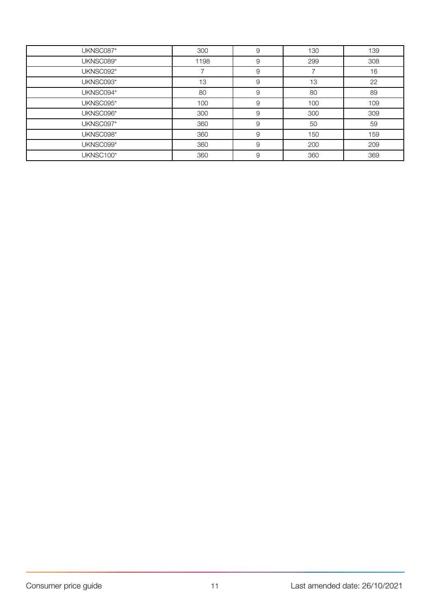| UKNSC087* | 300  | 9 | 130 | 139 |
|-----------|------|---|-----|-----|
| UKNSC089* | 1198 | 9 | 299 | 308 |
| UKNSC092* |      | 9 |     | 16  |
| UKNSC093* | 13   | 9 | 13  | 22  |
| UKNSC094* | 80   | 9 | 80  | 89  |
| UKNSC095* | 100  | 9 | 100 | 109 |
| UKNSC096* | 300  | 9 | 300 | 309 |
| UKNSC097* | 360  | 9 | 50  | 59  |
| UKNSC098* | 360  | 9 | 150 | 159 |
| UKNSC099* | 360  | 9 | 200 | 209 |
| UKNSC100* | 360  | 9 | 360 | 369 |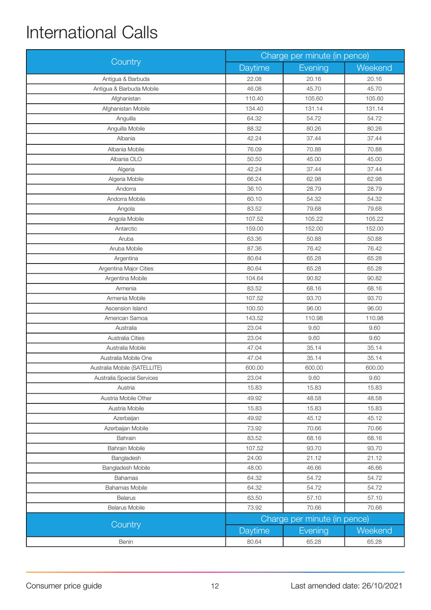# <span id="page-11-0"></span>International Calls

|                              | Charge per minute (in pence) |                              |         |
|------------------------------|------------------------------|------------------------------|---------|
| Country                      | Daytime                      | Evening                      | Weekend |
| Antigua & Barbuda            | 22.08                        | 20.16                        | 20.16   |
| Antigua & Barbuda Mobile     | 46.08                        | 45.70                        | 45.70   |
| Afghanistan                  | 110.40                       | 105.60                       | 105.60  |
| Afghanistan Mobile           | 134.40                       | 131.14                       | 131.14  |
| Anguilla                     | 64.32                        | 54.72                        | 54.72   |
| Anguilla Mobile              | 88.32                        | 80.26                        | 80.26   |
| Albania                      | 42.24                        | 37.44                        | 37.44   |
| Albania Mobile               | 76.09                        | 70.88                        | 70.88   |
| Albania OLO                  | 50.50                        | 45.00                        | 45.00   |
| Algeria                      | 42.24                        | 37.44                        | 37.44   |
| Algeria Mobile               | 66.24                        | 62.98                        | 62.98   |
| Andorra                      | 36.10                        | 28.79                        | 28.79   |
| Andorra Mobile               | 60.10                        | 54.32                        | 54.32   |
| Angola                       | 83.52                        | 79.68                        | 79.68   |
| Angola Mobile                | 107.52                       | 105.22                       | 105.22  |
| Antarctic                    | 159.00                       | 152.00                       | 152.00  |
| Aruba                        | 63.36                        | 50.88                        | 50.88   |
| Aruba Mobile                 | 87.36                        | 76.42                        | 76.42   |
| Argentina                    | 80.64                        | 65.28                        | 65.28   |
| Argentina Major Cities       | 80.64                        | 65.28                        | 65.28   |
| Argentina Mobile             | 104.64                       | 90.82                        | 90.82   |
| Armenia                      | 83.52                        | 68.16                        | 68.16   |
| Armenia Mobile               | 107.52                       | 93.70                        | 93.70   |
| Ascension Island             | 100.50                       | 96.00                        | 96.00   |
| American Samoa               | 143.52                       | 110.98                       | 110.98  |
| Australia                    | 23.04                        | 9.60                         | 9.60    |
| Australia Cities             | 23.04                        | 9.60                         | 9.60    |
| Australia Mobile             | 47.04                        | 35.14                        | 35.14   |
| Australia Mobile One         | 47.04                        | 35.14                        | 35.14   |
| Australia Mobile (SATELLITE) | 600.00                       | 600.00                       | 600.00  |
| Australia Special Services   | 23.04                        | 9.60                         | 9.60    |
| Austria                      | 15.83                        | 15.83                        | 15.83   |
| Austria Mobile Other         | 49.92                        | 48.58                        | 48.58   |
| Austria Mobile               | 15.83                        | 15.83                        | 15.83   |
| Azerbaijan                   | 49.92                        | 45.12                        | 45.12   |
| Azerbaijan Mobile            | 73.92                        | 70.66                        | 70.66   |
| Bahrain                      | 83.52                        | 68.16                        | 68.16   |
| <b>Bahrain Mobile</b>        | 107.52                       | 93.70                        | 93.70   |
| Bangladesh                   | 24.00                        | 21.12                        | 21.12   |
| Bangladesh Mobile            | 48.00                        | 46.66                        | 46.66   |
| <b>Bahamas</b>               | 64.32                        | 54.72                        | 54.72   |
| <b>Bahamas Mobile</b>        | 64.32                        | 54.72                        | 54.72   |
| Belarus                      | 63.50                        | 57.10                        | 57.10   |
| Belarus Mobile               | 73.92                        | 70.66                        | 70.66   |
|                              |                              | Charge per minute (in pence) |         |
| Country                      | Daytime                      | Evening                      | Weekend |
| Benin                        | 80.64                        | 65.28                        | 65.28   |
|                              |                              |                              |         |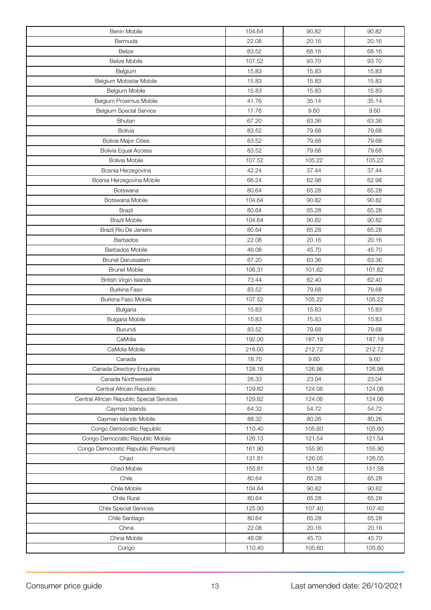| Benin Mobile                              | 104.64 | 90.82  | 90.82  |
|-------------------------------------------|--------|--------|--------|
| Bermuda                                   | 22.08  | 20.16  | 20.16  |
| <b>Belize</b>                             | 83.52  | 68.16  | 68.16  |
| <b>Belize Mobile</b>                      | 107.52 | 93.70  | 93.70  |
| Belgium                                   | 15.83  | 15.83  | 15.83  |
| Belgium Mobistar Mobile                   | 15.83  | 15.83  | 15.83  |
| Belgium Mobile                            | 15.83  | 15.83  | 15.83  |
| Belgium Proximus Mobile                   | 41.76  | 35.14  | 35.14  |
| <b>Belgium Special Service</b>            | 17.76  | 9.60   | 9.60   |
| <b>Bhutan</b>                             | 67.20  | 63.36  | 63.36  |
| Bolivia                                   | 83.52  | 79.68  | 79.68  |
| <b>Bolivia Major Cities</b>               | 83.52  | 79.68  | 79.68  |
| <b>Bolivia Equal Access</b>               | 83.52  | 79.68  | 79.68  |
| <b>Bolivia Mobile</b>                     | 107.52 | 105.22 | 105.22 |
| Bosnia Herzegovina                        | 42.24  | 37.44  | 37.44  |
| Bosnia Herzegovina Mobile                 | 66.24  | 62.98  | 62.98  |
| Botswana                                  | 80.64  | 65.28  | 65.28  |
| Botswana Mobile                           | 104.64 | 90.82  | 90.82  |
| <b>Brazil</b>                             | 80.64  | 65.28  | 65.28  |
| <b>Brazil Mobile</b>                      | 104.64 | 90.82  | 90.82  |
| Brazil Rio De Janeiro                     | 80.64  | 65.28  | 65.28  |
| <b>Barbados</b>                           | 22.08  | 20.16  | 20.16  |
| <b>Barbados Mobile</b>                    | 46.08  | 45.70  | 45.70  |
| <b>Brunel Darussalam</b>                  | 67.20  | 63.36  | 63.36  |
| <b>Brunel Mobile</b>                      | 106.31 | 101.62 | 101.62 |
| British Virgin Islands                    | 73.44  | 62.40  | 62.40  |
| <b>Burkina Faso</b>                       | 83.52  | 79.68  | 79.68  |
| Burkina Faso Mobile                       | 107.52 | 105.22 | 105.22 |
| Bulgaria                                  | 15.83  | 15.83  | 15.83  |
| <b>Bulgaria Mobile</b>                    | 15.83  | 15.83  | 15.83  |
| Burundi                                   | 83.52  | 79.68  | 79.68  |
| CaMdia                                    | 192.00 | 187.19 | 187.19 |
| CaMdia Mobile                             | 216.00 | 212.72 | 212.72 |
| Canada                                    | 18.70  | 9.60   | 9.60   |
| Canada Directory Enquiries                | 128.16 | 126.96 | 126.96 |
| Canada Northwestel                        | 26.33  | 23.04  | 23.04  |
| Central African Republic                  | 129.82 | 124.06 | 124.06 |
| Central African Republic Special Services | 129.82 | 124.06 | 124.06 |
| Cayman Islands                            | 64.32  | 54.72  | 54.72  |
| Cayman Islands Mobile                     | 88.32  | 80.26  | 80.26  |
| Congo Democratic Republic                 | 110.40 | 105.60 | 105.60 |
| Congo Democratic Republic Mobile          | 126.13 | 121.54 | 121.54 |
| Congo Democratic Republic (Premium)       | 161.90 | 155.90 | 155.90 |
| Chad                                      | 131.81 | 126.05 | 126.05 |
| Chad Mobile                               | 155.81 | 151.58 | 151.58 |
| Chile                                     | 80.64  | 65.28  | 65.28  |
| Chile Mobile                              | 104.64 | 90.82  | 90.82  |
| Chile Rural                               | 80.64  | 65.28  | 65.28  |
| <b>Chile Special Services</b>             | 125.90 | 107.40 | 107.40 |
| Chile Santiago                            | 80.64  | 65.28  | 65.28  |
| China                                     | 22.08  | 20.16  | 20.16  |
| China Mobile                              | 46.08  | 45.70  | 45.70  |
| Congo                                     | 110.40 | 105.60 | 105.60 |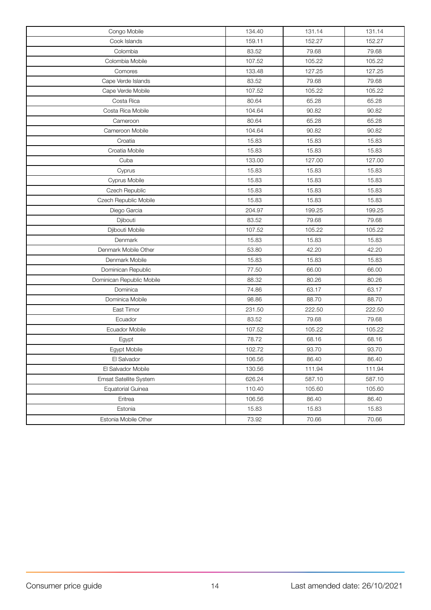| Congo Mobile              | 134.40 | 131.14 | 131.14 |
|---------------------------|--------|--------|--------|
| Cook Islands              | 159.11 | 152.27 | 152.27 |
| Colombia                  | 83.52  | 79.68  | 79.68  |
| Colombia Mobile           | 107.52 | 105.22 | 105.22 |
| Comores                   | 133.48 | 127.25 | 127.25 |
| Cape Verde Islands        | 83.52  | 79.68  | 79.68  |
| Cape Verde Mobile         | 107.52 | 105.22 | 105.22 |
| Costa Rica                | 80.64  | 65.28  | 65.28  |
| Costa Rica Mobile         | 104.64 | 90.82  | 90.82  |
| Cameroon                  | 80.64  | 65.28  | 65.28  |
| Cameroon Mobile           | 104.64 | 90.82  | 90.82  |
| Croatia                   | 15.83  | 15.83  | 15.83  |
| Croatia Mobile            | 15.83  | 15.83  | 15.83  |
| Cuba                      | 133.00 | 127.00 | 127.00 |
| Cyprus                    | 15.83  | 15.83  | 15.83  |
| Cyprus Mobile             | 15.83  | 15.83  | 15.83  |
| Czech Republic            | 15.83  | 15.83  | 15.83  |
| Czech Republic Mobile     | 15.83  | 15.83  | 15.83  |
| Diego Garcia              | 204.97 | 199.25 | 199.25 |
| Djibouti                  | 83.52  | 79.68  | 79.68  |
| Djibouti Mobile           | 107.52 | 105.22 | 105.22 |
| Denmark                   | 15.83  | 15.83  | 15.83  |
| Denmark Mobile Other      | 53.80  | 42.20  | 42.20  |
| Denmark Mobile            | 15.83  | 15.83  | 15.83  |
| Dominican Republic        | 77.50  | 66.00  | 66.00  |
| Dominican Republic Mobile | 88.32  | 80.26  | 80.26  |
| Dominica                  | 74.86  | 63.17  | 63.17  |
| Dominica Mobile           | 98.86  | 88.70  | 88.70  |
| East Timor                | 231.50 | 222.50 | 222.50 |
| Ecuador                   | 83.52  | 79.68  | 79.68  |
| Ecuador Mobile            | 107.52 | 105.22 | 105.22 |
| Egypt                     | 78.72  | 68.16  | 68.16  |
| Egypt Mobile              | 102.72 | 93.70  | 93.70  |
| El Salvador               | 106.56 | 86.40  | 86.40  |
| El Salvador Mobile        | 130.56 | 111.94 | 111.94 |
| Emsat Satellite System    | 626.24 | 587.10 | 587.10 |
| <b>Equatorial Guinea</b>  | 110.40 | 105.60 | 105.60 |
| Eritrea                   | 106.56 | 86.40  | 86.40  |
| Estonia                   | 15.83  | 15.83  | 15.83  |
| Estonia Mobile Other      | 73.92  | 70.66  | 70.66  |
|                           |        |        |        |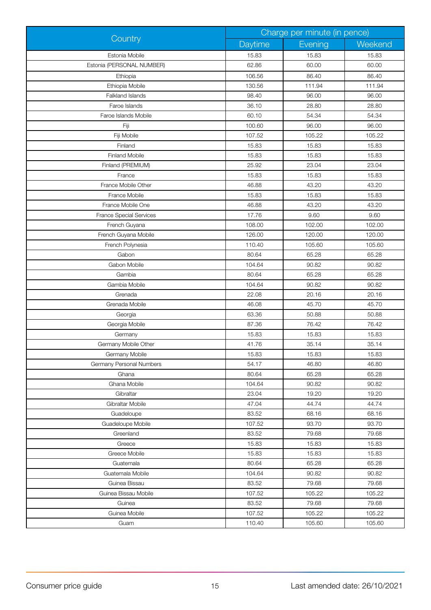|                                | Charge per minute (in pence) |         |         |
|--------------------------------|------------------------------|---------|---------|
| Country                        | Daytime                      | Evening | Weekend |
| Estonia Mobile                 | 15.83                        | 15.83   | 15.83   |
| Estonia (PERSONAL NUMBER)      | 62.86                        | 60.00   | 60.00   |
| Ethiopia                       | 106.56                       | 86.40   | 86.40   |
| Ethiopia Mobile                | 130.56                       | 111.94  | 111.94  |
| Falkland Islands               | 98.40                        | 96.00   | 96.00   |
| Faroe Islands                  | 36.10                        | 28.80   | 28.80   |
| Faroe Islands Mobile           | 60.10                        | 54.34   | 54.34   |
| Fiji                           | 100.60                       | 96.00   | 96.00   |
| Fiji Mobile                    | 107.52                       | 105.22  | 105.22  |
| Finland                        | 15.83                        | 15.83   | 15.83   |
| <b>Finland Mobile</b>          | 15.83                        | 15.83   | 15.83   |
| Finland (PREMIUM)              | 25.92                        | 23.04   | 23.04   |
| France                         | 15.83                        | 15.83   | 15.83   |
| France Mobile Other            | 46.88                        | 43.20   | 43.20   |
| France Mobile                  | 15.83                        | 15.83   | 15.83   |
| France Mobile One              | 46.88                        | 43.20   | 43.20   |
| <b>France Special Services</b> | 17.76                        | 9.60    | 9.60    |
| French Guyana                  | 108.00                       | 102.00  | 102.00  |
| French Guyana Mobile           | 126.00                       | 120.00  | 120.00  |
| French Polynesia               | 110.40                       | 105.60  | 105.60  |
| Gabon                          | 80.64                        | 65.28   | 65.28   |
| Gabon Mobile                   | 104.64                       | 90.82   | 90.82   |
| Gambia                         | 80.64                        | 65.28   | 65.28   |
| Gambia Mobile                  | 104.64                       | 90.82   | 90.82   |
| Grenada                        | 22.08                        | 20.16   | 20.16   |
| Grenada Mobile                 | 46.08                        | 45.70   | 45.70   |
| Georgia                        | 63.36                        | 50.88   | 50.88   |
| Georgia Mobile                 | 87.36                        | 76.42   | 76.42   |
| Germany                        | 15.83                        | 15.83   | 15.83   |
| Germany Mobile Other           | 41.76                        | 35.14   | 35.14   |
| Germany Mobile                 | 15.83                        | 15.83   | 15.83   |
| Germany Personal Numbers       | 54.17                        | 46.80   | 46.80   |
| Ghana                          | 80.64                        | 65.28   | 65.28   |
| Ghana Mobile                   | 104.64                       | 90.82   | 90.82   |
| Gibraltar                      | 23.04                        | 19.20   | 19.20   |
| Gibraltar Mobile               | 47.04                        | 44.74   | 44.74   |
| Guadeloupe                     | 83.52                        | 68.16   | 68.16   |
| Guadeloupe Mobile              | 107.52                       | 93.70   | 93.70   |
| Greenland                      | 83.52                        | 79.68   | 79.68   |
| Greece                         | 15.83                        | 15.83   | 15.83   |
| Greece Mobile                  | 15.83                        | 15.83   | 15.83   |
| Guatemala                      | 80.64                        | 65.28   | 65.28   |
| Guatemala Mobile               | 104.64                       | 90.82   | 90.82   |
| Guinea Bissau                  | 83.52                        | 79.68   | 79.68   |
| Guinea Bissau Mobile           | 107.52                       | 105.22  | 105.22  |
| Guinea                         | 83.52                        | 79.68   | 79.68   |
| Guinea Mobile                  | 107.52                       | 105.22  | 105.22  |
| Guam                           | 110.40                       | 105.60  | 105.60  |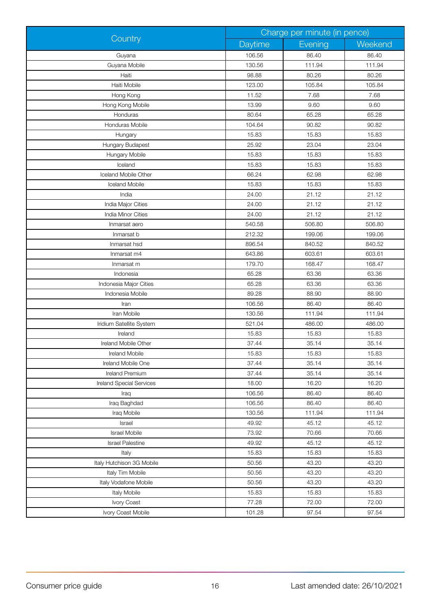|                                 | Charge per minute (in pence) |         |         |
|---------------------------------|------------------------------|---------|---------|
| Country                         | Daytime                      | Evening | Weekend |
| Guyana                          | 106.56                       | 86.40   | 86.40   |
| Guyana Mobile                   | 130.56                       | 111.94  | 111.94  |
| Haiti                           | 98.88                        | 80.26   | 80.26   |
| Haiti Mobile                    | 123.00                       | 105.84  | 105.84  |
| Hong Kong                       | 11.52                        | 7.68    | 7.68    |
| Hong Kong Mobile                | 13.99                        | 9.60    | 9.60    |
| Honduras                        | 80.64                        | 65.28   | 65.28   |
| Honduras Mobile                 | 104.64                       | 90.82   | 90.82   |
| Hungary                         | 15.83                        | 15.83   | 15.83   |
| Hungary Budapest                | 25.92                        | 23.04   | 23.04   |
| Hungary Mobile                  | 15.83                        | 15.83   | 15.83   |
| Iceland                         | 15.83                        | 15.83   | 15.83   |
| Iceland Mobile Other            | 66.24                        | 62.98   | 62.98   |
| <b>Iceland Mobile</b>           | 15.83                        | 15.83   | 15.83   |
| India                           | 24.00                        | 21.12   | 21.12   |
| India Major Cities              | 24.00                        | 21.12   | 21.12   |
| India Minor Cities              | 24.00                        | 21.12   | 21.12   |
| Inmarsat aero                   | 540.58                       | 506.80  | 506.80  |
| Inmarsat b                      | 212.32                       | 199.06  | 199.06  |
| Inmarsat hsd                    | 896.54                       | 840.52  | 840.52  |
| Inmarsat m4                     | 643.86                       | 603.61  | 603.61  |
| Inmarsat m                      | 179.70                       | 168.47  | 168.47  |
| Indonesia                       | 65.28                        | 63.36   | 63.36   |
| Indonesia Major Cities          | 65.28                        | 63.36   | 63.36   |
| Indonesia Mobile                | 89.28                        | 88.90   | 88.90   |
| Iran                            | 106.56                       | 86.40   | 86.40   |
| Iran Mobile                     | 130.56                       | 111.94  | 111.94  |
| Iridium Satellite System        | 521.04                       | 486.00  | 486.00  |
| Ireland                         | 15.83                        | 15.83   | 15.83   |
| Ireland Mobile Other            | 37.44                        | 35.14   | 35.14   |
| Ireland Mobile                  | 15.83                        | 15.83   | 15.83   |
| Ireland Mobile One              | 37.44                        | 35.14   | 35.14   |
| <b>Ireland Premium</b>          | 37.44                        | 35.14   | 35.14   |
| <b>Ireland Special Services</b> | 18.00                        | 16.20   | 16.20   |
| Iraq                            | 106.56                       | 86.40   | 86.40   |
| Iraq Baghdad                    | 106.56                       | 86.40   | 86.40   |
| Iraq Mobile                     | 130.56                       | 111.94  | 111.94  |
| Israel                          | 49.92                        | 45.12   | 45.12   |
| <b>Israel Mobile</b>            | 73.92                        | 70.66   | 70.66   |
| <b>Israel Palestine</b>         | 49.92                        | 45.12   | 45.12   |
| Italy                           | 15.83                        | 15.83   | 15.83   |
| Italy Hutchison 3G Mobile       | 50.56                        | 43.20   | 43.20   |
| Italy Tim Mobile                | 50.56                        | 43.20   | 43.20   |
| Italy Vodafone Mobile           | 50.56                        | 43.20   | 43.20   |
| Italy Mobile                    | 15.83                        | 15.83   | 15.83   |
| Ivory Coast                     | 77.28                        | 72.00   | 72.00   |
| Ivory Coast Mobile              | 101.28                       | 97.54   | 97.54   |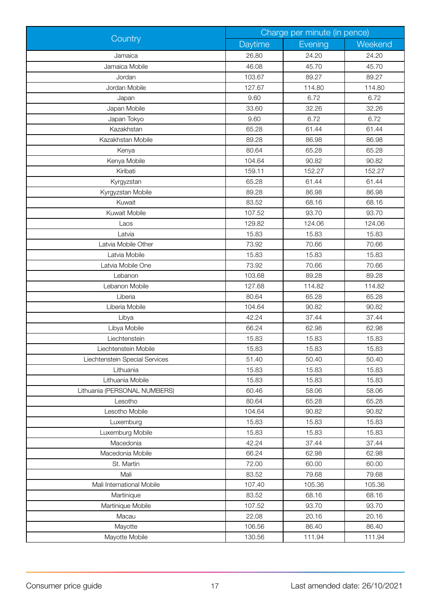| Charge per minute (in pence)<br>Country |         |         |         |  |
|-----------------------------------------|---------|---------|---------|--|
|                                         | Daytime | Evening | Weekend |  |
| Jamaica                                 | 26.80   | 24.20   | 24.20   |  |
| Jamaica Mobile                          | 46.08   | 45.70   | 45.70   |  |
| Jordan                                  | 103.67  | 89.27   | 89.27   |  |
| Jordan Mobile                           | 127.67  | 114.80  | 114.80  |  |
| Japan                                   | 9.60    | 6.72    | 6.72    |  |
| Japan Mobile                            | 33.60   | 32.26   | 32.26   |  |
| Japan Tokyo                             | 9.60    | 6.72    | 6.72    |  |
| Kazakhstan                              | 65.28   | 61.44   | 61.44   |  |
| Kazakhstan Mobile                       | 89.28   | 86.98   | 86.98   |  |
| Kenya                                   | 80.64   | 65.28   | 65.28   |  |
| Kenya Mobile                            | 104.64  | 90.82   | 90.82   |  |
| Kiribati                                | 159.11  | 152.27  | 152.27  |  |
| Kyrgyzstan                              | 65.28   | 61.44   | 61.44   |  |
| Kyrgyzstan Mobile                       | 89.28   | 86.98   | 86.98   |  |
| Kuwait                                  | 83.52   | 68.16   | 68.16   |  |
| Kuwait Mobile                           | 107.52  | 93.70   | 93.70   |  |
| Laos                                    | 129.82  | 124.06  | 124.06  |  |
| Latvia                                  | 15.83   | 15.83   | 15.83   |  |
| Latvia Mobile Other                     | 73.92   | 70.66   | 70.66   |  |
| Latvia Mobile                           | 15.83   | 15.83   | 15.83   |  |
| Latvia Mobile One                       | 73.92   | 70.66   | 70.66   |  |
| Lebanon                                 | 103.68  | 89.28   | 89.28   |  |
| Lebanon Mobile                          | 127.68  | 114.82  | 114.82  |  |
| Liberia                                 | 80.64   | 65.28   | 65.28   |  |
| Liberia Mobile                          | 104.64  | 90.82   | 90.82   |  |
| Libya                                   | 42.24   | 37.44   | 37.44   |  |
| Libya Mobile                            | 66.24   | 62.98   | 62.98   |  |
| Liechtenstein                           | 15.83   | 15.83   | 15.83   |  |
| Liechtenstein Mobile                    | 15.83   | 15.83   | 15.83   |  |
| Liechtenstein Special Services          | 51.40   | 50.40   | 50.40   |  |
| Lithuania                               | 15.83   | 15.83   | 15.83   |  |
| Lithuania Mobile                        | 15.83   | 15.83   | 15.83   |  |
| Lithuania (PERSONAL NUMBERS)            | 60.46   | 58.06   | 58.06   |  |
| Lesotho                                 | 80.64   | 65.28   | 65.28   |  |
| Lesotho Mobile                          | 104.64  | 90.82   | 90.82   |  |
| Luxemburg                               | 15.83   | 15.83   | 15.83   |  |
| Luxemburg Mobile                        | 15.83   | 15.83   | 15.83   |  |
| Macedonia                               | 42.24   | 37.44   | 37.44   |  |
| Macedonia Mobile                        | 66.24   | 62.98   | 62.98   |  |
| St. Martin                              | 72.00   | 60.00   | 60.00   |  |
| Mali                                    | 83.52   | 79.68   | 79.68   |  |
| Mali International Mobile               | 107.40  | 105.36  | 105.36  |  |
| Martinique                              | 83.52   | 68.16   | 68.16   |  |
| Martinique Mobile                       | 107.52  | 93.70   | 93.70   |  |
| Macau                                   | 22.08   | 20.16   | 20.16   |  |
| Mayotte                                 | 106.56  | 86.40   | 86.40   |  |
| Mayotte Mobile                          | 130.56  | 111.94  | 111.94  |  |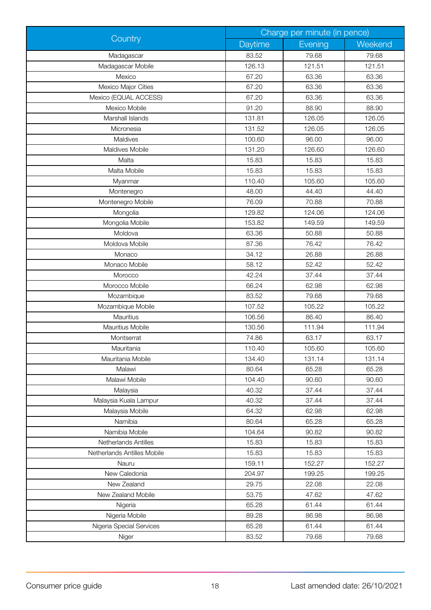|                             | Charge per minute (in pence) |         |         |
|-----------------------------|------------------------------|---------|---------|
| Country                     | Daytime                      | Evening | Weekend |
| Madagascar                  | 83.52                        | 79.68   | 79.68   |
| Madagascar Mobile           | 126.13                       | 121.51  | 121.51  |
| Mexico                      | 67.20                        | 63.36   | 63.36   |
| Mexico Major Cities         | 67.20                        | 63.36   | 63.36   |
| Mexico (EQUAL ACCESS)       | 67.20                        | 63.36   | 63.36   |
| Mexico Mobile               | 91.20                        | 88.90   | 88.90   |
| Marshall Islands            | 131.81                       | 126.05  | 126.05  |
| Micronesia                  | 131.52                       | 126.05  | 126.05  |
| Maldives                    | 100.60                       | 96.00   | 96.00   |
| Maldives Mobile             | 131.20                       | 126.60  | 126.60  |
| Malta                       | 15.83                        | 15.83   | 15.83   |
| Malta Mobile                | 15.83                        | 15.83   | 15.83   |
| Myanmar                     | 110.40                       | 105.60  | 105.60  |
| Montenegro                  | 48.00                        | 44.40   | 44.40   |
| Montenegro Mobile           | 76.09                        | 70.88   | 70.88   |
| Mongolia                    | 129.82                       | 124.06  | 124.06  |
| Mongolia Mobile             | 153.82                       | 149.59  | 149.59  |
| Moldova                     | 63.36                        | 50.88   | 50.88   |
| Moldova Mobile              | 87.36                        | 76.42   | 76.42   |
| Monaco                      | 34.12                        | 26.88   | 26.88   |
| Monaco Mobile               | 58.12                        | 52.42   | 52.42   |
| Morocco                     | 42.24                        | 37.44   | 37.44   |
| Morocco Mobile              | 66.24                        | 62.98   | 62.98   |
| Mozambique                  | 83.52                        | 79.68   | 79.68   |
| Mozambique Mobile           | 107.52                       | 105.22  | 105.22  |
| Mauritius                   | 106.56                       | 86.40   | 86.40   |
| Mauritius Mobile            | 130.56                       | 111.94  | 111.94  |
| Montserrat                  | 74.86                        | 63.17   | 63.17   |
| Mauritania                  | 110.40                       | 105.60  | 105.60  |
| Mauritania Mobile           | 134.40                       | 131.14  | 131.14  |
| Malawi                      | 80.64                        | 65.28   | 65.28   |
| Malawi Mobile               | 104.40                       | 90.60   | 90.60   |
| Malaysia                    | 40.32                        | 37.44   | 37.44   |
| Malaysia Kuala Lampur       | 40.32                        | 37.44   | 37.44   |
| Malaysia Mobile             | 64.32                        | 62.98   | 62.98   |
| Namibia                     | 80.64                        | 65.28   | 65.28   |
| Namibia Mobile              | 104.64                       | 90.82   | 90.82   |
| Netherlands Antilles        | 15.83                        | 15.83   | 15.83   |
| Netherlands Antilles Mobile | 15.83                        | 15.83   | 15.83   |
| Nauru                       | 159.11                       | 152.27  | 152.27  |
| New Caledonia               | 204.97                       | 199.25  | 199.25  |
| New Zealand                 | 29.75                        | 22.08   | 22.08   |
| New Zealand Mobile          | 53.75                        | 47.62   | 47.62   |
| Nigeria                     | 65.28                        | 61.44   | 61.44   |
| Nigeria Mobile              | 89.28                        | 86.98   | 86.98   |
| Nigeria Special Services    | 65.28                        | 61.44   | 61.44   |
| Niger                       | 83.52                        | 79.68   | 79.68   |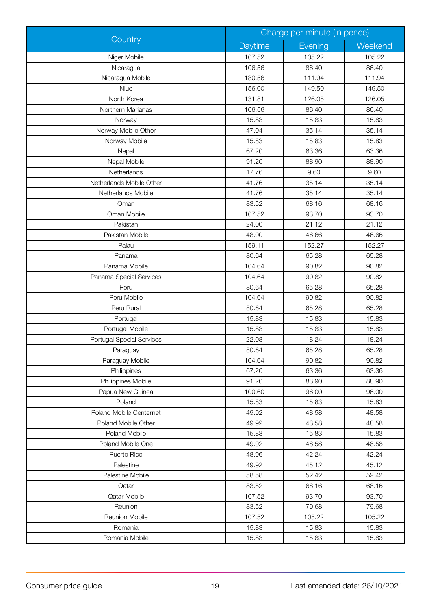|                           | Charge per minute (in pence)<br>Country |         |         |
|---------------------------|-----------------------------------------|---------|---------|
|                           | Daytime                                 | Evening | Weekend |
| Niger Mobile              | 107.52                                  | 105.22  | 105.22  |
| Nicaragua                 | 106.56                                  | 86.40   | 86.40   |
| Nicaragua Mobile          | 130.56                                  | 111.94  | 111.94  |
| Niue                      | 156.00                                  | 149.50  | 149.50  |
| North Korea               | 131.81                                  | 126.05  | 126.05  |
| Northern Marianas         | 106.56                                  | 86.40   | 86.40   |
| Norway                    | 15.83                                   | 15.83   | 15.83   |
| Norway Mobile Other       | 47.04                                   | 35.14   | 35.14   |
| Norway Mobile             | 15.83                                   | 15.83   | 15.83   |
| Nepal                     | 67.20                                   | 63.36   | 63.36   |
| Nepal Mobile              | 91.20                                   | 88.90   | 88.90   |
| Netherlands               | 17.76                                   | 9.60    | 9.60    |
| Netherlands Mobile Other  | 41.76                                   | 35.14   | 35.14   |
| Netherlands Mobile        | 41.76                                   | 35.14   | 35.14   |
| Oman                      | 83.52                                   | 68.16   | 68.16   |
| Oman Mobile               | 107.52                                  | 93.70   | 93.70   |
| Pakistan                  | 24.00                                   | 21.12   | 21.12   |
| Pakistan Mobile           | 48.00                                   | 46.66   | 46.66   |
| Palau                     | 159.11                                  | 152.27  | 152.27  |
| Panama                    | 80.64                                   | 65.28   | 65.28   |
| Panama Mobile             | 104.64                                  | 90.82   | 90.82   |
| Panama Special Services   | 104.64                                  | 90.82   | 90.82   |
| Peru                      | 80.64                                   | 65.28   | 65.28   |
| Peru Mobile               | 104.64                                  | 90.82   | 90.82   |
| Peru Rural                | 80.64                                   | 65.28   | 65.28   |
| Portugal                  | 15.83                                   | 15.83   | 15.83   |
| Portugal Mobile           | 15.83                                   | 15.83   | 15.83   |
| Portugal Special Services | 22.08                                   | 18.24   | 18.24   |
| Paraguay                  | 80.64                                   | 65.28   | 65.28   |
| Paraguay Mobile           | 104.64                                  | 90.82   | 90.82   |
| Philippines               | 67.20                                   | 63.36   | 63.36   |
| Philippines Mobile        | 91.20                                   | 88.90   | 88.90   |
| Papua New Guinea          | 100.60                                  | 96.00   | 96.00   |
| Poland                    | 15.83                                   | 15.83   | 15.83   |
| Poland Mobile Centernet   | 49.92                                   | 48.58   | 48.58   |
| Poland Mobile Other       | 49.92                                   | 48.58   | 48.58   |
| Poland Mobile             | 15.83                                   | 15.83   | 15.83   |
| Poland Mobile One         | 49.92                                   | 48.58   | 48.58   |
| Puerto Rico               | 48.96                                   | 42.24   | 42.24   |
| Palestine                 | 49.92                                   | 45.12   | 45.12   |
| Palestine Mobile          | 58.58                                   | 52.42   | 52.42   |
| Qatar                     | 83.52                                   | 68.16   | 68.16   |
| Qatar Mobile              | 107.52                                  | 93.70   | 93.70   |
| Reunion                   | 83.52                                   | 79.68   | 79.68   |
| <b>Reunion Mobile</b>     | 107.52                                  | 105.22  | 105.22  |
| Romania                   | 15.83                                   | 15.83   | 15.83   |
| Romania Mobile            | 15.83                                   | 15.83   | 15.83   |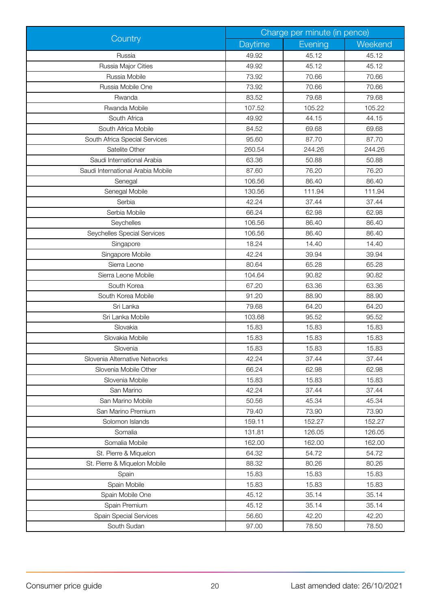|                                   | Charge per minute (in pence) |         |         |
|-----------------------------------|------------------------------|---------|---------|
| Country                           | Daytime                      | Evening | Weekend |
| Russia                            | 49.92                        | 45.12   | 45.12   |
| Russia Major Cities               | 49.92                        | 45.12   | 45.12   |
| Russia Mobile                     | 73.92                        | 70.66   | 70.66   |
| Russia Mobile One                 | 73.92                        | 70.66   | 70.66   |
| Rwanda                            | 83.52                        | 79.68   | 79.68   |
| Rwanda Mobile                     | 107.52                       | 105.22  | 105.22  |
| South Africa                      | 49.92                        | 44.15   | 44.15   |
| South Africa Mobile               | 84.52                        | 69.68   | 69.68   |
| South Africa Special Services     | 95.60                        | 87.70   | 87.70   |
| Satelite Other                    | 260.54                       | 244.26  | 244.26  |
| Saudi International Arabia        | 63.36                        | 50.88   | 50.88   |
| Saudi International Arabia Mobile | 87.60                        | 76.20   | 76.20   |
| Senegal                           | 106.56                       | 86.40   | 86.40   |
| Senegal Mobile                    | 130.56                       | 111.94  | 111.94  |
| Serbia                            | 42.24                        | 37.44   | 37.44   |
| Serbia Mobile                     | 66.24                        | 62.98   | 62.98   |
| Seychelles                        | 106.56                       | 86.40   | 86.40   |
| Seychelles Special Services       | 106.56                       | 86.40   | 86.40   |
| Singapore                         | 18.24                        | 14.40   | 14.40   |
| Singapore Mobile                  | 42.24                        | 39.94   | 39.94   |
| Sierra Leone                      | 80.64                        | 65.28   | 65.28   |
| Sierra Leone Mobile               | 104.64                       | 90.82   | 90.82   |
| South Korea                       | 67.20                        | 63.36   | 63.36   |
| South Korea Mobile                | 91.20                        | 88.90   | 88.90   |
| Sri Lanka                         | 79.68                        | 64.20   | 64.20   |
| Sri Lanka Mobile                  | 103.68                       | 95.52   | 95.52   |
| Slovakia                          | 15.83                        | 15.83   | 15.83   |
| Slovakia Mobile                   | 15.83                        | 15.83   | 15.83   |
| Slovenia                          | 15.83                        | 15.83   | 15.83   |
| Slovenia Alternative Networks     | 42.24                        | 37.44   | 37.44   |
| Slovenia Mobile Other             | 66.24                        | 62.98   | 62.98   |
| Slovenia Mobile                   | 15.83                        | 15.83   | 15.83   |
| San Marino                        | 42.24                        | 37.44   | 37.44   |
| San Marino Mobile                 | 50.56                        | 45.34   | 45.34   |
| San Marino Premium                | 79.40                        | 73.90   | 73.90   |
| Solomon Islands                   | 159.11                       | 152.27  | 152.27  |
| Somalia                           | 131.81                       | 126.05  | 126.05  |
| Somalia Mobile                    | 162.00                       | 162.00  | 162.00  |
| St. Pierre & Miquelon             | 64.32                        | 54.72   | 54.72   |
| St. Pierre & Miquelon Mobile      | 88.32                        | 80.26   | 80.26   |
| Spain                             | 15.83                        | 15.83   | 15.83   |
| Spain Mobile                      | 15.83                        | 15.83   | 15.83   |
| Spain Mobile One                  | 45.12                        | 35.14   | 35.14   |
| Spain Premium                     | 45.12                        | 35.14   | 35.14   |
| Spain Special Services            | 56.60                        | 42.20   | 42.20   |
| South Sudan                       | 97.00                        | 78.50   | 78.50   |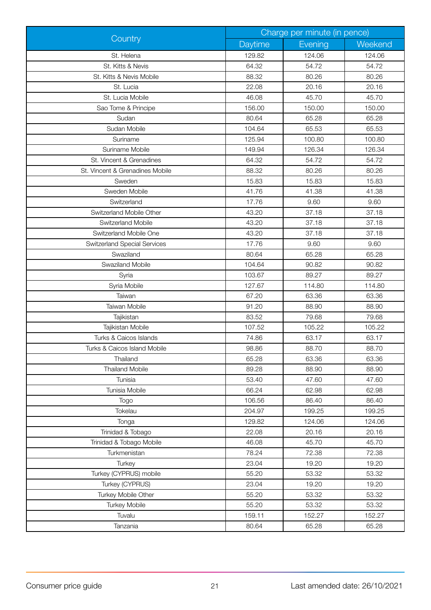|                                     | Charge per minute (in pence) |         |         |
|-------------------------------------|------------------------------|---------|---------|
| Country                             | Daytime                      | Evening | Weekend |
| St. Helena                          | 129.82                       | 124.06  | 124.06  |
| St. Kitts & Nevis                   | 64.32                        | 54.72   | 54.72   |
| St. Kitts & Nevis Mobile            | 88.32                        | 80.26   | 80.26   |
| St. Lucia                           | 22.08                        | 20.16   | 20.16   |
| St. Lucia Mobile                    | 46.08                        | 45.70   | 45.70   |
| Sao Tome & Principe                 | 156.00                       | 150.00  | 150.00  |
| Sudan                               | 80.64                        | 65.28   | 65.28   |
| Sudan Mobile                        | 104.64                       | 65.53   | 65.53   |
| Suriname                            | 125.94                       | 100.80  | 100.80  |
| Suriname Mobile                     | 149.94                       | 126.34  | 126.34  |
| St. Vincent & Grenadines            | 64.32                        | 54.72   | 54.72   |
| St. Vincent & Grenadines Mobile     | 88.32                        | 80.26   | 80.26   |
| Sweden                              | 15.83                        | 15.83   | 15.83   |
| Sweden Mobile                       | 41.76                        | 41.38   | 41.38   |
| Switzerland                         | 17.76                        | 9.60    | 9.60    |
| Switzerland Mobile Other            | 43.20                        | 37.18   | 37.18   |
| Switzerland Mobile                  | 43.20                        | 37.18   | 37.18   |
| Switzerland Mobile One              | 43.20                        | 37.18   | 37.18   |
| <b>Switzerland Special Services</b> | 17.76                        | 9.60    | 9.60    |
| Swaziland                           | 80.64                        | 65.28   | 65.28   |
| Swaziland Mobile                    | 104.64                       | 90.82   | 90.82   |
| Syria                               | 103.67                       | 89.27   | 89.27   |
| Syria Mobile                        | 127.67                       | 114.80  | 114.80  |
| Taiwan                              | 67.20                        | 63.36   | 63.36   |
| Taiwan Mobile                       | 91.20                        | 88.90   | 88.90   |
| Tajikistan                          | 83.52                        | 79.68   | 79.68   |
| Tajikistan Mobile                   | 107.52                       | 105.22  | 105.22  |
| Turks & Caicos Islands              | 74.86                        | 63.17   | 63.17   |
| Turks & Caicos Island Mobile        | 98.86                        | 88.70   | 88.70   |
| Thailand                            | 65.28                        | 63.36   | 63.36   |
| <b>Thailand Mobile</b>              | 89.28                        | 88.90   | 88.90   |
| Tunisia                             | 53.40                        | 47.60   | 47.60   |
| Tunisia Mobile                      | 66.24                        | 62.98   | 62.98   |
| Togo                                | 106.56                       | 86.40   | 86.40   |
| Tokelau                             | 204.97                       | 199.25  | 199.25  |
| Tonga                               | 129.82                       | 124.06  | 124.06  |
| Trinidad & Tobago                   | 22.08                        | 20.16   | 20.16   |
| Trinidad & Tobago Mobile            | 46.08                        | 45.70   | 45.70   |
| Turkmenistan                        | 78.24                        | 72.38   | 72.38   |
| Turkey                              | 23.04                        | 19.20   | 19.20   |
| Turkey (CYPRUS) mobile              | 55.20                        | 53.32   | 53.32   |
| Turkey (CYPRUS)                     | 23.04                        | 19.20   | 19.20   |
| Turkey Mobile Other                 | 55.20                        | 53.32   | 53.32   |
| <b>Turkey Mobile</b>                | 55.20                        | 53.32   | 53.32   |
| Tuvalu                              | 159.11                       | 152.27  | 152.27  |
| Tanzania                            | 80.64                        | 65.28   | 65.28   |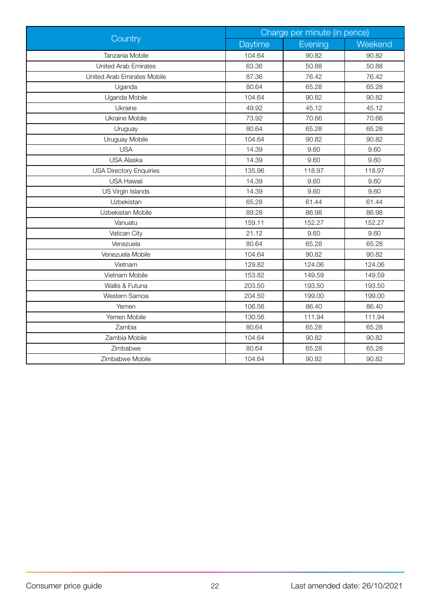| Country                        | Charge per minute (in pence) |         |         |
|--------------------------------|------------------------------|---------|---------|
|                                | Daytime                      | Evening | Weekend |
| Tanzania Mobile                | 104.64                       | 90.82   | 90.82   |
| <b>United Arab Emirates</b>    | 63.36                        | 50.88   | 50.88   |
| United Arab Emirates Mobile    | 87.36                        | 76.42   | 76.42   |
| Uganda                         | 80.64                        | 65.28   | 65.28   |
| Uganda Mobile                  | 104.64                       | 90.82   | 90.82   |
| Ukraine                        | 49.92                        | 45.12   | 45.12   |
| Ukraine Mobile                 | 73.92                        | 70.66   | 70.66   |
| Uruguay                        | 80.64                        | 65.28   | 65.28   |
| Uruguay Mobile                 | 104.64                       | 90.82   | 90.82   |
| <b>USA</b>                     | 14.39                        | 9.60    | 9.60    |
| <b>USA Alaska</b>              | 14.39                        | 9.60    | 9.60    |
| <b>USA Directory Enquiries</b> | 135.96                       | 118.97  | 118.97  |
| <b>USA Hawaii</b>              | 14.39                        | 9.60    | 9.60    |
| US Virgin Islands              | 14.39                        | 9.60    | 9.60    |
| Uzbekistan                     | 65.28                        | 61.44   | 61.44   |
| Uzbekistan Mobile              | 89.28                        | 86.98   | 86.98   |
| Vanuatu                        | 159.11                       | 152.27  | 152.27  |
| Vatican City                   | 21.12                        | 9.60    | 9.60    |
| Venezuela                      | 80.64                        | 65.28   | 65.28   |
| Venezuela Mobile               | 104.64                       | 90.82   | 90.82   |
| Vietnam                        | 129.82                       | 124.06  | 124.06  |
| Vietnam Mobile                 | 153.82                       | 149.59  | 149.59  |
| Wallis & Futuna                | 203.50                       | 193.50  | 193.50  |
| Western Samoa                  | 204.50                       | 199.00  | 199.00  |
| Yemen                          | 106.56                       | 86.40   | 86.40   |
| Yemen Mobile                   | 130.56                       | 111.94  | 111.94  |
| Zambia                         | 80.64                        | 65.28   | 65.28   |
| Zambia Mobile                  | 104.64                       | 90.82   | 90.82   |
| Zimbabwe                       | 80.64                        | 65.28   | 65.28   |
| Zimbabwe Mobile                | 104.64                       | 90.82   | 90.82   |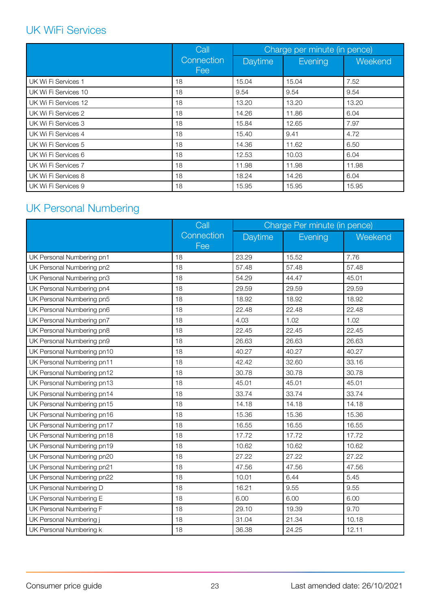# <span id="page-22-0"></span>UK WiFi Services

|                      | Call              | Charge per minute (in pence) |         |         |
|----------------------|-------------------|------------------------------|---------|---------|
|                      | Connection<br>Fee | <b>Daytime</b>               | Evening | Weekend |
| UK Wi Fi Services 1  | 18                | 15.04                        | 15.04   | 7.52    |
| UK Wi Fi Services 10 | 18                | 9.54                         | 9.54    | 9.54    |
| UK Wi Fi Services 12 | 18                | 13.20                        | 13.20   | 13.20   |
| UK Wi Fi Services 2  | 18                | 14.26                        | 11.86   | 6.04    |
| UK Wi Fi Services 3  | 18                | 15.84                        | 12.65   | 7.97    |
| UK Wi Fi Services 4  | 18                | 15.40                        | 9.41    | 4.72    |
| UK Wi Fi Services 5  | 18                | 14.36                        | 11.62   | 6.50    |
| UK Wi Fi Services 6  | 18                | 12.53                        | 10.03   | 6.04    |
| UK Wi Fi Services 7  | 18                | 11.98                        | 11.98   | 11.98   |
| UK Wi Fi Services 8  | 18                | 18.24                        | 14.26   | 6.04    |
| UK Wi Fi Services 9  | 18                | 15.95                        | 15.95   | 15.95   |

# UK Personal Numbering

|                            | Call              | Charge Per minute (in pence) |         |         |
|----------------------------|-------------------|------------------------------|---------|---------|
|                            | Connection<br>Fee | Daytime                      | Evening | Weekend |
| UK Personal Numbering pn1  | 18                | 23.29                        | 15.52   | 7.76    |
| UK Personal Numbering pn2  | 18                | 57.48                        | 57.48   | 57.48   |
| UK Personal Numbering pn3  | 18                | 54.29                        | 44.47   | 45.01   |
| UK Personal Numbering pn4  | 18                | 29.59                        | 29.59   | 29.59   |
| UK Personal Numbering pn5  | 18                | 18.92                        | 18.92   | 18.92   |
| UK Personal Numbering pn6  | 18                | 22.48                        | 22.48   | 22.48   |
| UK Personal Numbering pn7  | 18                | 4.03                         | 1.02    | 1.02    |
| UK Personal Numbering pn8  | 18                | 22.45                        | 22.45   | 22.45   |
| UK Personal Numbering pn9  | 18                | 26.63                        | 26.63   | 26.63   |
| UK Personal Numbering pn10 | 18                | 40.27                        | 40.27   | 40.27   |
| UK Personal Numbering pn11 | 18                | 42.42                        | 32.60   | 33.16   |
| UK Personal Numbering pn12 | 18                | 30.78                        | 30.78   | 30.78   |
| UK Personal Numbering pn13 | 18                | 45.01                        | 45.01   | 45.01   |
| UK Personal Numbering pn14 | 18                | 33.74                        | 33.74   | 33.74   |
| UK Personal Numbering pn15 | 18                | 14.18                        | 14.18   | 14.18   |
| UK Personal Numbering pn16 | 18                | 15.36                        | 15.36   | 15.36   |
| UK Personal Numbering pn17 | 18                | 16.55                        | 16.55   | 16.55   |
| UK Personal Numbering pn18 | 18                | 17.72                        | 17.72   | 17.72   |
| UK Personal Numbering pn19 | 18                | 10.62                        | 10.62   | 10.62   |
| UK Personal Numbering pn20 | 18                | 27.22                        | 27.22   | 27.22   |
| UK Personal Numbering pn21 | 18                | 47.56                        | 47.56   | 47.56   |
| UK Personal Numbering pn22 | 18                | 10.01                        | 6.44    | 5.45    |
| UK Personal Numbering D    | 18                | 16.21                        | 9.55    | 9.55    |
| UK Personal Numbering E    | 18                | 6.00                         | 6.00    | 6.00    |
| UK Personal Numbering F    | 18                | 29.10                        | 19.39   | 9.70    |
| UK Personal Numbering j    | 18                | 31.04                        | 21.34   | 10.18   |
| UK Personal Numbering k    | 18                | 36.38                        | 24.25   | 12.11   |